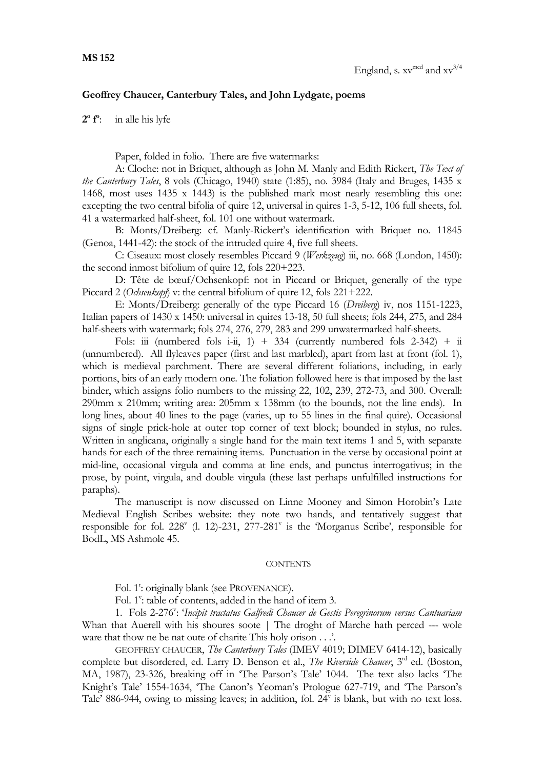## **Geoffrey Chaucer, Canterbury Tales, and John Lydgate, poems**

**2 o f o** : in alle his lyfe

Paper, folded in folio. There are five watermarks:

A: Cloche: not in Briquet, although as John M. Manly and Edith Rickert, *The Text of the Canterbury Tales*, 8 vols (Chicago, 1940) state (1:85), no. 3984 (Italy and Bruges, 1435 x 1468, most uses 1435 x 1443) is the published mark most nearly resembling this one: excepting the two central bifolia of quire 12, universal in quires 1-3, 5-12, 106 full sheets, fol. 41 a watermarked half-sheet, fol. 101 one without watermark.

B: Monts/Dreiberg: cf. Manly-Rickert's identification with Briquet no. 11845 (Genoa, 1441-42): the stock of the intruded quire 4, five full sheets.

C: Ciseaux: most closely resembles Piccard 9 (*Werkzeug*) iii, no. 668 (London, 1450): the second inmost bifolium of quire 12, fols 220+223.

D: Tête de bœuf/Ochsenkopf: not in Piccard or Briquet, generally of the type Piccard 2 (*Ochsenkopf*) v: the central bifolium of quire 12, fols 221+222.

E: Monts/Dreiberg: generally of the type Piccard 16 (*Dreiberg*) iv, nos 1151-1223, Italian papers of 1430 x 1450: universal in quires 13-18, 50 full sheets; fols 244, 275, and 284 half-sheets with watermark; fols 274, 276, 279, 283 and 299 unwatermarked half-sheets.

Fols: iii (numbered fols i-ii, 1) + 334 (currently numbered fols  $2-342$ ) + ii (unnumbered). All flyleaves paper (first and last marbled), apart from last at front (fol. 1), which is medieval parchment. There are several different foliations, including, in early portions, bits of an early modern one. The foliation followed here is that imposed by the last binder, which assigns folio numbers to the missing 22, 102, 239, 272-73, and 300. Overall: 290mm x 210mm; writing area: 205mm x 138mm (to the bounds, not the line ends). In long lines, about 40 lines to the page (varies, up to 55 lines in the final quire). Occasional signs of single prick-hole at outer top corner of text block; bounded in stylus, no rules. Written in anglicana, originally a single hand for the main text items 1 and 5, with separate hands for each of the three remaining items. Punctuation in the verse by occasional point at mid-line, occasional virgula and comma at line ends, and punctus interrogativus; in the prose, by point, virgula, and double virgula (these last perhaps unfulfilled instructions for paraphs).

The manuscript is now discussed on Linne Mooney and Simon Horobin's Late Medieval English Scribes website: they note two hands, and tentatively suggest that responsible for fol. 228<sup>v</sup> (l. 12)-231, 277-281<sup>v</sup> is the 'Morganus Scribe', responsible for BodL, MS Ashmole 45.

## **CONTENTS**

Fol. 1<sup>e</sup>: originally blank (see PROVENANCE).

Fol. 1": table of contents, added in the hand of item 3.

1. Fols 2-276": 'Incipit tractatus Galfredi Chaucer de Gestis Peregrinorum versus Cantuariam Whan that Auerell with his shoures soote | The droght of Marche hath perced --- wole ware that thow ne be nat oute of charite This holy orison . . .'.

GEOFFREY CHAUCER, *The Canterbury Tales* (IMEV 4019; DIMEV 6414-12), basically complete but disordered, ed. Larry D. Benson et al., *The Riverside Chaucer*, 3<sup>rd</sup> ed. (Boston, MA, 1987), 23-326, breaking off in 'The Parson's Tale' 1044. The text also lacks 'The Knight's Tale' 1554-1634, 'The Canon's Yeoman's Prologue 627-719, and 'The Parson's Tale' 886-944, owing to missing leaves; in addition, fol. 24" is blank, but with no text loss.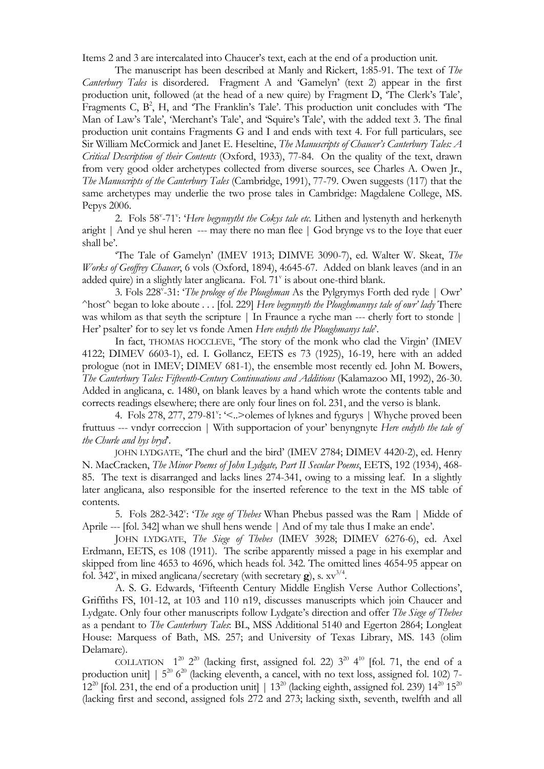Items 2 and 3 are intercalated into Chaucer's text, each at the end of a production unit.

The manuscript has been described at Manly and Rickert, 1:85-91. The text of *The Canterbury Tales* is disordered. Fragment A and 'Gamelyn' (text 2) appear in the first production unit, followed (at the head of a new quire) by Fragment D, 'The Clerk's Tale', Fragments C,  $B^2$ , H, and 'The Franklin's Tale'. This production unit concludes with 'The Man of Law's Tale', 'Merchant's Tale', and 'Squire's Tale', with the added text 3. The final production unit contains Fragments G and I and ends with text 4. For full particulars, see Sir William McCormick and Janet E. Heseltine, *The Manuscripts of Chaucer's Canterbury Tales: A Critical Description of their Contents* (Oxford, 1933), 77-84. On the quality of the text, drawn from very good older archetypes collected from diverse sources, see Charles A. Owen Jr., *The Manuscripts of the Canterbury Tales* (Cambridge, 1991), 77-79. Owen suggests (117) that the same archetypes may underlie the two prose tales in Cambridge: Magdalene College, MS. Pepys 2006.

2. Fols 58"-71": '*Here begynnytht the Cokys tale etc*. Lithen and lystenyth and herkenyth aright | And ye shul heren --- may there no man flee | God brynge vs to the Ioye that euer shall be'.

'The Tale of Gamelyn' (IMEV 1913; DIMVE 3090-7), ed. Walter W. Skeat, *The Works of Geoffrey Chaucer*, 6 vols (Oxford, 1894), 4:645-67. Added on blank leaves (and in an added quire) in a slightly later anglicana. Fol. 71° is about one-third blank.

3. Fols 228<sup>v</sup> -31: '*The prologe of the Ploughman* As the Pylgrymys Forth ded ryde | Owr' ^host^ began to loke aboute . . . [fol. 229] *Here begynnyth the Ploughmannys tale of owr' lady* There was whilom as that seyth the scripture | In Fraunce a ryche man --- cherly fort to stonde | Her' psalter' for to sey let vs fonde Amen *Here endyth the Ploughmanys tale*'.

In fact, THOMAS HOCCLEVE, 'The story of the monk who clad the Virgin' (IMEV 4122; DIMEV 6603-1), ed. I. Gollancz, EETS es 73 (1925), 16-19, here with an added prologue (not in IMEV; DIMEV 681-1), the ensemble most recently ed. John M. Bowers, *The Canterbury Tales: Fifteenth-Century Continuations and Additions* (Kalamazoo MI, 1992), 26-30. Added in anglicana, c. 1480, on blank leaves by a hand which wrote the contents table and corrects readings elsewhere; there are only four lines on fol. 231, and the verso is blank.

4. Fols 278, 277, 279-81": '<..> olemes of lyknes and fygurys | Whyche proved been fruttuus --- vndyr correccion | With supportacion of your' benyngnyte *Here endyth the tale of the Churle and hys bryd*'.

JOHN LYDGATE, 'The churl and the bird' (IMEV 2784; DIMEV 4420-2), ed. Henry N. MacCracken, *The Minor Poems of John Lydgate, Part II Secular Poems*, EETS, 192 (1934), 468- 85. The text is disarranged and lacks lines 274-341, owing to a missing leaf. In a slightly later anglicana, also responsible for the inserted reference to the text in the MS table of contents.

5. Fols 282-342": 'The sege of Thebes Whan Phebus passed was the Ram | Midde of Aprile --- [fol. 342] whan we shull hens wende | And of my tale thus I make an ende'.

JOHN LYDGATE, *The Siege of Thebes* (IMEV 3928; DIMEV 6276-6), ed. Axel Erdmann, EETS, es 108 (1911). The scribe apparently missed a page in his exemplar and skipped from line 4653 to 4696, which heads fol. 342. The omitted lines 4654-95 appear on fol.  $342^{\circ}$ , in mixed anglicana/secretary (with secretary **g**), s.  $xy^{3/4}$ .

A. S. G. Edwards, 'Fifteenth Century Middle English Verse Author Collections', Griffiths FS, 101-12, at 103 and 110 n19, discusses manuscripts which join Chaucer and Lydgate. Only four other manuscripts follow Lydgate's direction and offer *The Siege of Thebes* as a pendant to *The Canterbury Tales*: BL, MSS Additional 5140 and Egerton 2864; Longleat House: Marquess of Bath, MS. 257; and University of Texas Library, MS. 143 (olim Delamare).

COLLATION  $1^{20}$   $2^{20}$  (lacking first, assigned fol. 22)  $3^{20}$  4<sup>10</sup> [fol. 71, the end of a production unit]  $\left(5^{20} \frac{6^{20}}{20}$  (lacking eleventh, a cancel, with no text loss, assigned fol. 102) 7- $12^{20}$  [fol. 231, the end of a production unit] |  $13^{20}$  (lacking eighth, assigned fol. 239)  $14^{20}$   $15^{20}$ (lacking first and second, assigned fols 272 and 273; lacking sixth, seventh, twelfth and all